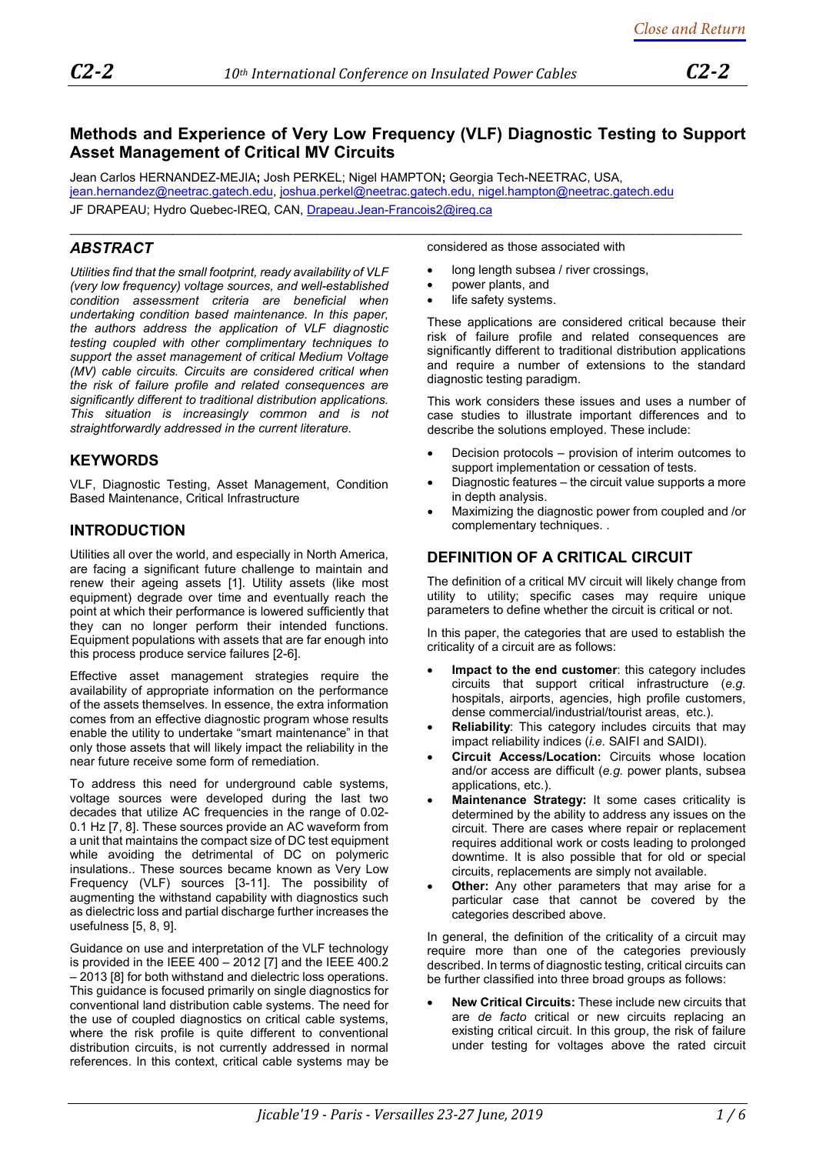# **Methods and Experience of Very Low Frequency (VLF) Diagnostic Testing to Support Asset Management of Critical MV Circuits**

 $\_$  , and the set of the set of the set of the set of the set of the set of the set of the set of the set of the set of the set of the set of the set of the set of the set of the set of the set of the set of the set of th

Jean Carlos HERNANDEZ-MEJIA**;** Josh PERKEL; Nigel HAMPTON**;** Georgia Tech-NEETRAC, USA, [jean.hernandez@neetrac.gatech.edu,](mailto:jean.hernandez@neetrac.gatech.edu) [joshua.perkel@neetrac.gatech.edu,](mailto:joshua.perkel@neetrac.gatech.edu) [nigel.hampton@neetrac.gatech.edu](mailto:nigel.hampton@neetrac.gatech.edu) JF DRAPEAU; Hydro Quebec-IREQ, CAN, [Drapeau.Jean-Francois2@ireq.ca](mailto:Drapeau.Jean-Francois2@ireq.ca)

# *ABSTRACT*

*Utilities find that the small footprint, ready availability of VLF (very low frequency) voltage sources, and well-established condition assessment criteria are beneficial when undertaking condition based maintenance. In this paper, the authors address the application of VLF diagnostic testing coupled with other complimentary techniques to support the asset management of critical Medium Voltage (MV) cable circuits. Circuits are considered critical when the risk of failure profile and related consequences are significantly different to traditional distribution applications. This situation is increasingly common and is not straightforwardly addressed in the current literature.* 

## **KEYWORDS**

VLF, Diagnostic Testing, Asset Management, Condition Based Maintenance, Critical Infrastructure

# **INTRODUCTION**

Utilities all over the world, and especially in North America, are facing a significant future challenge to maintain and renew their ageing assets [\[1\]](#page-5-0). Utility assets (like most equipment) degrade over time and eventually reach the point at which their performance is lowered sufficiently that they can no longer perform their intended functions. Equipment populations with assets that are far enough into this process produce service failures [\[2](#page-5-1)[-6\]](#page-5-2).

Effective asset management strategies require the availability of appropriate information on the performance of the assets themselves. In essence, the extra information comes from an effective diagnostic program whose results enable the utility to undertake "smart maintenance" in that only those assets that will likely impact the reliability in the near future receive some form of remediation.

To address this need for underground cable systems, voltage sources were developed during the last two decades that utilize AC frequencies in the range of 0.02- 0.1 Hz [\[7,](#page-5-3) [8\]](#page-5-4). These sources provide an AC waveform from a unit that maintains the compact size of DC test equipment while avoiding the detrimental of DC on polymeric insulations.. These sources became known as Very Low Frequency (VLF) sources [\[3-](#page-5-5)[11\].](#page-5-6) The possibility of augmenting the withstand capability with diagnostics such as dielectric loss and partial discharge further increases the usefulness [\[5,](#page-5-7) [8,](#page-5-4) [9\]](#page-5-8).

Guidance on use and interpretation of the VLF technology is provided in the IEEE 400 – 2012 [\[7\]](#page-5-3) and the IEEE 400.2 – 2013 [\[8\]](#page-5-4) for both withstand and dielectric loss operations. This guidance is focused primarily on single diagnostics for conventional land distribution cable systems. The need for the use of coupled diagnostics on critical cable systems, where the risk profile is quite different to conventional distribution circuits, is not currently addressed in normal references. In this context, critical cable systems may be

considered as those associated with

- long length subsea / river crossings,
- power plants, and
- life safety systems.

These applications are considered critical because their risk of failure profile and related consequences are significantly different to traditional distribution applications and require a number of extensions to the standard diagnostic testing paradigm.

This work considers these issues and uses a number of case studies to illustrate important differences and to describe the solutions employed. These include:

- Decision protocols provision of interim outcomes to support implementation or cessation of tests.
- Diagnostic features the circuit value supports a more in depth analysis.
- Maximizing the diagnostic power from coupled and /or complementary techniques. .

# **DEFINITION OF A CRITICAL CIRCUIT**

The definition of a critical MV circuit will likely change from utility to utility; specific cases may require unique parameters to define whether the circuit is critical or not.

In this paper, the categories that are used to establish the criticality of a circuit are as follows:

- **Impact to the end customer:** this category includes circuits that support critical infrastructure (*e.g.* hospitals, airports, agencies, high profile customers, dense commercial/industrial/tourist areas, etc.).
- **Reliability**: This category includes circuits that may impact reliability indices (*i.e.* SAIFI and SAIDI).
- **Circuit Access/Location:** Circuits whose location and/or access are difficult (*e.g.* power plants, subsea applications, etc.).
- **Maintenance Strategy:** It some cases criticality is determined by the ability to address any issues on the circuit. There are cases where repair or replacement requires additional work or costs leading to prolonged downtime. It is also possible that for old or special circuits, replacements are simply not available.
- **Other:** Any other parameters that may arise for a particular case that cannot be covered by the categories described above.

In general, the definition of the criticality of a circuit may require more than one of the categories previously described. In terms of diagnostic testing, critical circuits can be further classified into three broad groups as follows:

• **New Critical Circuits:** These include new circuits that are *de facto* critical or new circuits replacing an existing critical circuit. In this group, the risk of failure under testing for voltages above the rated circuit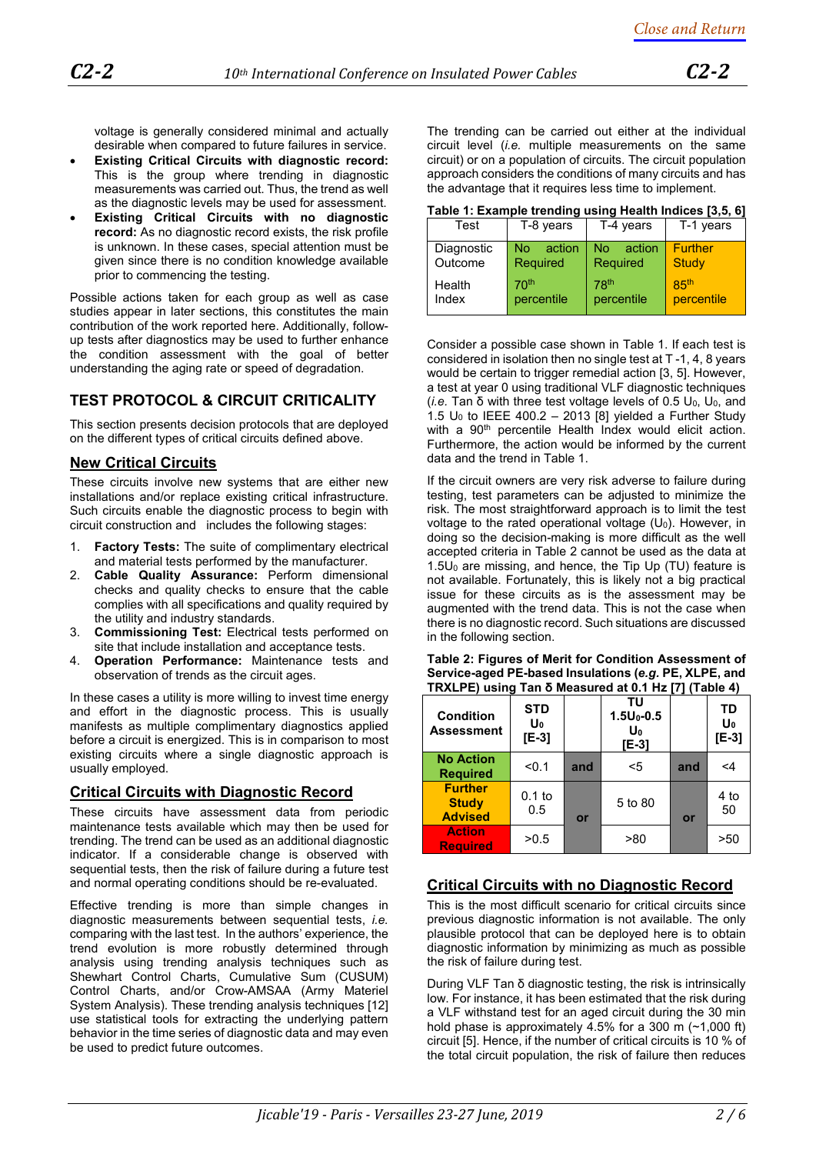voltage is generally considered minimal and actually desirable when compared to future failures in service.

- **Existing Critical Circuits with diagnostic record:** This is the group where trending in diagnostic measurements was carried out. Thus, the trend as well as the diagnostic levels may be used for assessment.
- **Existing Critical Circuits with no diagnostic record:** As no diagnostic record exists, the risk profile is unknown. In these cases, special attention must be given since there is no condition knowledge available prior to commencing the testing.

Possible actions taken for each group as well as case studies appear in later sections, this constitutes the main contribution of the work reported here. Additionally, followup tests after diagnostics may be used to further enhance the condition assessment with the goal of better understanding the aging rate or speed of degradation.

# **TEST PROTOCOL & CIRCUIT CRITICALITY**

This section presents decision protocols that are deployed on the different types of critical circuits defined above.

## **New Critical Circuits**

These circuits involve new systems that are either new installations and/or replace existing critical infrastructure. Such circuits enable the diagnostic process to begin with circuit construction and includes the following stages:

- 1. **Factory Tests:** The suite of complimentary electrical and material tests performed by the manufacturer.
- 2. **Cable Quality Assurance:** Perform dimensional checks and quality checks to ensure that the cable complies with all specifications and quality required by the utility and industry standards.
- 3. **Commissioning Test:** Electrical tests performed on site that include installation and acceptance tests.
- 4. **Operation Performance:** Maintenance tests and observation of trends as the circuit ages.

In these cases a utility is more willing to invest time energy and effort in the diagnostic process. This is usually manifests as multiple complimentary diagnostics applied before a circuit is energized. This is in comparison to most existing circuits where a single diagnostic approach is usually employed.

#### **Critical Circuits with Diagnostic Record**

These circuits have assessment data from periodic maintenance tests available which may then be used for trending. The trend can be used as an additional diagnostic indicator. If a considerable change is observed with sequential tests, then the risk of failure during a future test and normal operating conditions should be re-evaluated.

Effective trending is more than simple changes in diagnostic measurements between sequential tests, *i.e.* comparing with the last test. In the authors' experience, the trend evolution is more robustly determined through analysis using trending analysis techniques such as Shewhart Control Charts, Cumulative Sum (CUSUM) Control Charts, and/or Crow-AMSAA (Army Materiel System Analysis). These trending analysis techniques [\[12\]](#page-5-9) use statistical tools for extracting the underlying pattern behavior in the time series of diagnostic data and may even be used to predict future outcomes.

The trending can be carried out either at the individual circuit level (*i.e.* multiple measurements on the same circuit) or on a population of circuits. The circuit population approach considers the conditions of many circuits and has the advantage that it requires less time to implement.

**Table 1: Example trending using Health Indices [3,5, 6]**

| Test                  | T-8 years                       | T-4 years                      | T-1 years                       |
|-----------------------|---------------------------------|--------------------------------|---------------------------------|
| Diagnostic<br>Outcome | action<br><b>No</b><br>Required | No.<br>action<br>Required      | Further<br>Study                |
| Health<br>Index       | 70 <sup>th</sup><br>percentile  | 78 <sup>th</sup><br>percentile | 8.5 <sup>th</sup><br>percentile |

Consider a possible case shown in Table 1. If each test is considered in isolation then no single test at T -1, 4, 8 years would be certain to trigger remedial action [3, 5]. However, a test at year 0 using traditional VLF diagnostic techniques (*i.e.* Tan δ with three test voltage levels of 0.5 U0, U0, and 1.5 U<sub>0</sub> to IEEE 400.2 - 2013 [\[8\]](#page-5-4) yielded a Further Study with a 90<sup>th</sup> percentile Health Index would elicit action. Furthermore, the action would be informed by the current data and the trend in Table 1.

If the circuit owners are very risk adverse to failure during testing, test parameters can be adjusted to minimize the risk. The most straightforward approach is to limit the test voltage to the rated operational voltage  $(U_0)$ . However, in doing so the decision-making is more difficult as the well accepted criteria in Table 2 cannot be used as the data at  $1.5U<sub>0</sub>$  are missing, and hence, the Tip Up (TU) feature is not available. Fortunately, this is likely not a big practical issue for these circuits as is the assessment may be augmented with the trend data. This is not the case when there is no diagnostic record. Such situations are discussed in the following section.

| TRXLPE) using Tan o Measured at 0.1 Hz [7] (Table 4) |                             |     |                                       |     |                     |
|------------------------------------------------------|-----------------------------|-----|---------------------------------------|-----|---------------------|
| <b>Condition</b><br><b>Assessment</b>                | <b>STD</b><br>Uo<br>$[E-3]$ |     | ΤU<br>$1.5U_0 - 0.5$<br>Uo<br>$[E-3]$ |     | TD<br>Uo<br>$[E-3]$ |
| <b>No Action</b><br><b>Required</b>                  | < 0.1                       | and | $5$                                   | and | <4                  |
| <b>Further</b><br><b>Study</b><br><b>Advised</b>     | $0.1$ to<br>0.5             | or  | 5 to 80                               | or  | 4 to<br>50          |
| <b>Action</b><br><b>Required</b>                     | >0.5                        |     | > 80                                  |     | >50                 |

<span id="page-1-0"></span>**Table 2: Figures of Merit for Condition Assessment of Service-aged PE-based Insulations (***e.g.* **PE, XLPE, and TRXLPE) using Tan δ Measured at 0.1 Hz [7] (Table 4)**

## **Critical Circuits with no Diagnostic Record**

This is the most difficult scenario for critical circuits since previous diagnostic information is not available. The only plausible protocol that can be deployed here is to obtain diagnostic information by minimizing as much as possible the risk of failure during test.

During VLF Tan δ diagnostic testing, the risk is intrinsically low. For instance, it has been estimated that the risk during a VLF withstand test for an aged circuit during the 30 min hold phase is approximately  $4.5\%$  for a 300 m (~1,000 ft) circuit [\[5\]](#page-5-7). Hence, if the number of critical circuits is 10 % of the total circuit population, the risk of failure then reduces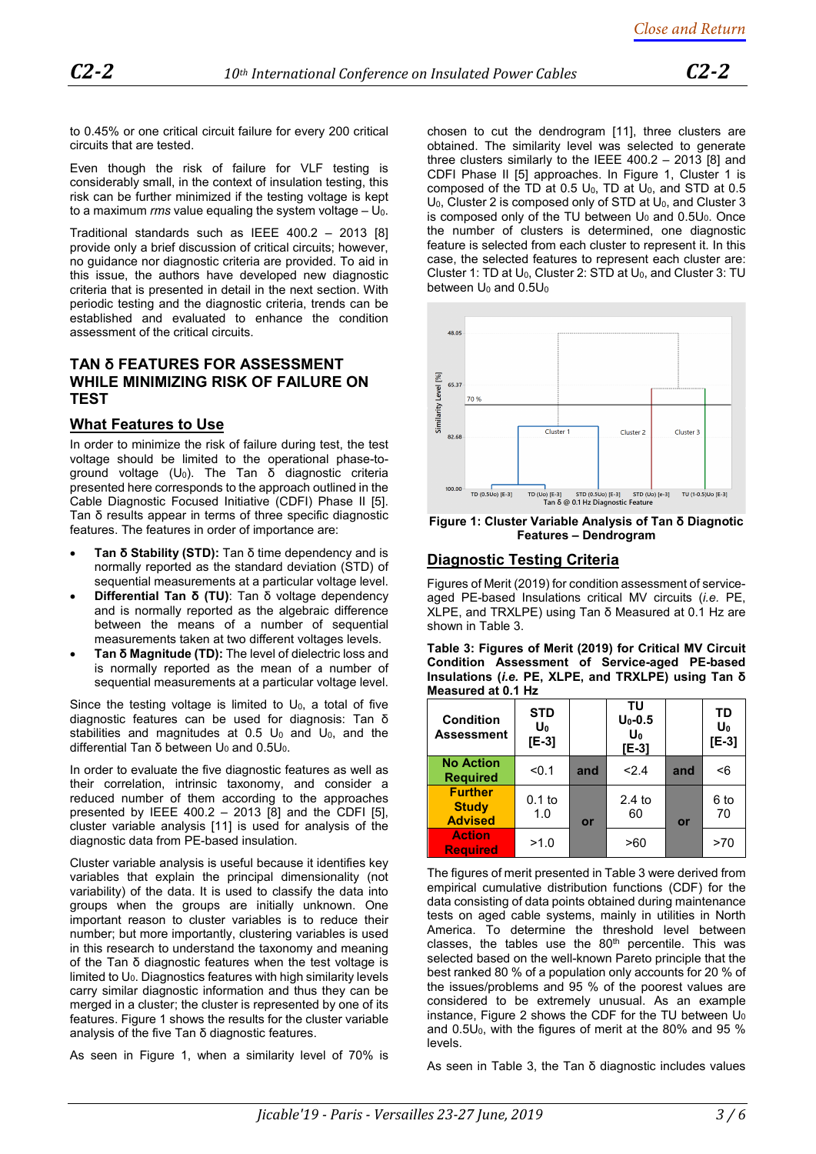to 0.45% or one critical circuit failure for every 200 critical circuits that are tested.

Even though the risk of failure for VLF testing is considerably small, in the context of insulation testing, this risk can be further minimized if the testing voltage is kept to a maximum  $\mathit{rms}$  value equaling the system voltage  $- U_0$ .

Traditional standards such as IEEE 400.2 – 2013 [\[8\]](#page-5-4) provide only a brief discussion of critical circuits; however, no guidance nor diagnostic criteria are provided. To aid in this issue, the authors have developed new diagnostic criteria that is presented in detail in the next section. With periodic testing and the diagnostic criteria, trends can be established and evaluated to enhance the condition assessment of the critical circuits.

#### **TAN δ FEATURES FOR ASSESSMENT WHILE MINIMIZING RISK OF FAILURE ON TEST**

## **What Features to Use**

In order to minimize the risk of failure during test, the test voltage should be limited to the operational phase-toground voltage (U<sub>0</sub>). The Tan δ diagnostic criteria presented here corresponds to the approach outlined in the Cable Diagnostic Focused Initiative (CDFI) Phase II [\[5\]](#page-5-7). Tan δ results appear in terms of three specific diagnostic features. The features in order of importance are:

- **Tan δ Stability (STD):** Tan δ time dependency and is normally reported as the standard deviation (STD) of sequential measurements at a particular voltage level.
- **Differential Tan δ (TU)**: Tan δ voltage dependency and is normally reported as the algebraic difference between the means of a number of sequential measurements taken at two different voltages levels.
- **Tan δ Magnitude (TD):** The level of dielectric loss and is normally reported as the mean of a number of sequential measurements at a particular voltage level.

Since the testing voltage is limited to  $U_0$ , a total of five diagnostic features can be used for diagnosis: Tan δ stabilities and magnitudes at  $0.5 \ U_0$  and  $U_0$ , and the differential Tan δ between  $U_0$  and 0.5 $U_0$ .

In order to evaluate the five diagnostic features as well as their correlation, intrinsic taxonomy, and consider a reduced number of them according to the approaches presented by IEEE 400.2 - 2013  $[8]$  and the CDFI  $[5]$ , cluster variable analysis [\[11\]](#page-5-6) is used for analysis of the diagnostic data from PE-based insulation.

Cluster variable analysis is useful because it identifies key variables that explain the principal dimensionality (not variability) of the data. It is used to classify the data into groups when the groups are initially unknown. One important reason to cluster variables is to reduce their number; but more importantly, clustering variables is used in this research to understand the taxonomy and meaning of the Tan δ diagnostic features when the test voltage is limited to  $U_0$ . Diagnostics features with high similarity levels carry similar diagnostic information and thus they can be merged in a cluster; the cluster is represented by one of its features[. Figure 1](#page-2-0) shows the results for the cluster variable analysis of the five Tan δ diagnostic features.

As seen in [Figure 1,](#page-2-0) when a similarity level of 70% is

chosen to cut the dendrogram [\[11\]](#page-5-6), three clusters are obtained. The similarity level was selected to generate three clusters similarly to the IEEE 400.2 – 2013 [\[8\]](#page-5-4) and CDFI Phase II [\[5\]](#page-5-7) approaches. In [Figure 1,](#page-2-0) Cluster 1 is composed of the TD at  $0.5$  U<sub>0</sub>, TD at U<sub>0</sub>, and STD at  $0.5$  $U_0$ , Cluster 2 is composed only of STD at  $U_0$ , and Cluster 3 is composed only of the TU between  $U_0$  and  $0.5U_0$ . Once the number of clusters is determined, one diagnostic feature is selected from each cluster to represent it. In this case, the selected features to represent each cluster are: Cluster 1: TD at U<sub>0</sub>, Cluster 2: STD at U<sub>0</sub>, and Cluster 3: TU between  $U_0$  and  $0.5U_0$ 



<span id="page-2-0"></span>**Figure 1: Cluster Variable Analysis of Tan δ Diagnotic Features – Dendrogram**

#### **Diagnostic Testing Criteria**

Figures of Merit (2019) for condition assessment of serviceaged PE-based Insulations critical MV circuits (*i.e.* PE, XLPE, and TRXLPE) using Tan δ Measured at 0.1 Hz are shown in [Table 3.](#page-2-1)

<span id="page-2-1"></span>**Table 3: Figures of Merit (2019) for Critical MV Circuit Condition Assessment of Service-aged PE-based Insulations (***i.e.* **PE, XLPE, and TRXLPE) using Tan δ Measured at 0.1 Hz**

| <b>Condition</b><br><b>Assessment</b>            | <b>STD</b><br>Uo<br>$[E-3]$ |     | TU<br>$U_0 - 0.5$<br>Uo<br>$[E-3]$ |     | TD<br>Uo<br>$[E-3]$ |
|--------------------------------------------------|-----------------------------|-----|------------------------------------|-----|---------------------|
| <b>No Action</b><br><b>Required</b>              | < 0.1                       | and | 2.4                                | and | <6                  |
| <b>Further</b><br><b>Study</b><br><b>Advised</b> | $0.1$ to<br>1.0             | or  | $2.4$ to<br>60                     | or  | 6 to<br>70          |
| <b>Action</b><br><b>Required</b>                 | >1.0                        |     | >60                                |     | >70                 |

The figures of merit presented i[n Table 3](#page-2-1) were derived from empirical cumulative distribution functions (CDF) for the data consisting of data points obtained during maintenance tests on aged cable systems, mainly in utilities in North America. To determine the threshold level between classes, the tables use the  $80<sup>th</sup>$  percentile. This was selected based on the well-known Pareto principle that the best ranked 80 % of a population only accounts for 20 % of the issues/problems and 95 % of the poorest values are considered to be extremely unusual. As an example instance, [Figure 2](#page-3-0) shows the CDF for the TU between  $U_0$ and 0.5U0, with the figures of merit at the 80% and 95 % levels.

As seen in [Table 3](#page-2-1), the Tan δ diagnostic includes values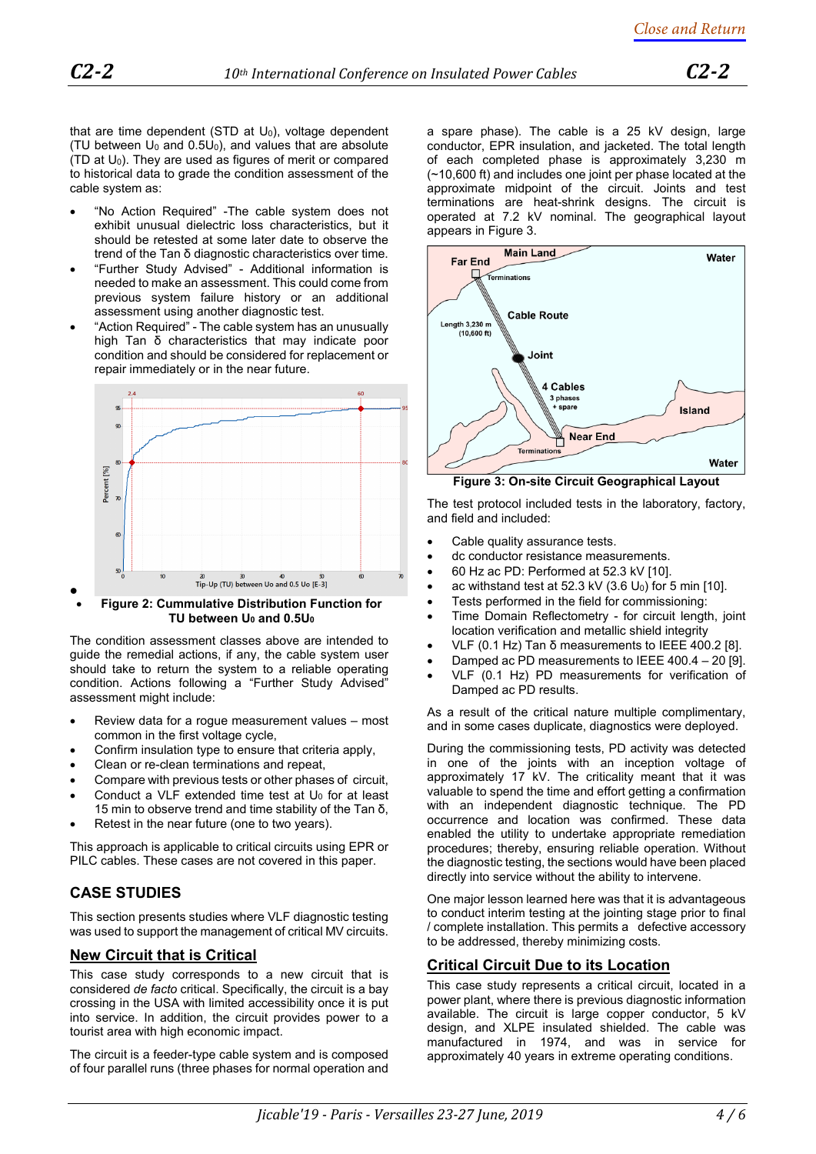that are time dependent (STD at  $U_0$ ), voltage dependent (TU between  $U_0$  and  $0.5U_0$ ), and values that are absolute (TD at  $U_0$ ). They are used as figures of merit or compared to historical data to grade the condition assessment of the cable system as:

- "No Action Required" -The cable system does not exhibit unusual dielectric loss characteristics, but it should be retested at some later date to observe the trend of the Tan δ diagnostic characteristics over time.
- "Further Study Advised" Additional information is needed to make an assessment. This could come from previous system failure history or an additional assessment using another diagnostic test.
- "Action Required" The cable system has an unusually high Tan δ characteristics that may indicate poor condition and should be considered for replacement or repair immediately or in the near future.



#### <span id="page-3-0"></span>• • **Figure 2: Cummulative Distribution Function for TU between U<sup>0</sup> and 0.5U<sup>0</sup>**

The condition assessment classes above are intended to guide the remedial actions, if any, the cable system user should take to return the system to a reliable operating condition. Actions following a "Further Study Advised" assessment might include:

- Review data for a rogue measurement values most common in the first voltage cycle,
- Confirm insulation type to ensure that criteria apply,
- Clean or re-clean terminations and repeat,
- Compare with previous tests or other phases of circuit,
- Conduct a VLF extended time test at  $U_0$  for at least 15 min to observe trend and time stability of the Tan δ,
- Retest in the near future (one to two years).

This approach is applicable to critical circuits using EPR or PILC cables. These cases are not covered in this paper.

# **CASE STUDIES**

This section presents studies where VLF diagnostic testing was used to support the management of critical MV circuits.

## **New Circuit that is Critical**

This case study corresponds to a new circuit that is considered *de facto* critical. Specifically, the circuit is a bay crossing in the USA with limited accessibility once it is put into service. In addition, the circuit provides power to a tourist area with high economic impact.

The circuit is a feeder-type cable system and is composed of four parallel runs (three phases for normal operation and

a spare phase). The cable is a 25 kV design, large conductor, EPR insulation, and jacketed. The total length of each completed phase is approximately 3,230 m (~10,600 ft) and includes one joint per phase located at the approximate midpoint of the circuit. Joints and test terminations are heat-shrink designs. The circuit is operated at 7.2 kV nominal. The geographical layout appears in [Figure 3.](#page-3-1) 



<span id="page-3-1"></span>**Figure 3: On-site Circuit Geographical Layout**

The test protocol included tests in the laboratory, factory, and field and included:

- Cable quality assurance tests.
- dc conductor resistance measurements.
- 60 Hz ac PD: Performed at 52.3 kV [\[10\].](#page-5-10)
- ac withstand test at  $52.3$  kV  $(3.6 \text{ U}_0)$  for 5 min [\[10\]](#page-5-10).
- Tests performed in the field for commissioning:
- Time Domain Reflectometry for circuit length, joint location verification and metallic shield integrity
- VLF (0.1 Hz) Tan δ measurements to IEEE 400.2 [\[8\]](#page-5-4).
- Damped ac PD measurements to IEEE 400.4 20 [\[9\]](#page-5-8).
- VLF (0.1 Hz) PD measurements for verification of Damped ac PD results.

As a result of the critical nature multiple complimentary, and in some cases duplicate, diagnostics were deployed.

During the commissioning tests, PD activity was detected in one of the joints with an inception voltage of approximately 17 kV. The criticality meant that it was valuable to spend the time and effort getting a confirmation with an independent diagnostic technique. The PD occurrence and location was confirmed. These data enabled the utility to undertake appropriate remediation procedures; thereby, ensuring reliable operation. Without the diagnostic testing, the sections would have been placed directly into service without the ability to intervene.

One major lesson learned here was that it is advantageous to conduct interim testing at the jointing stage prior to final / complete installation. This permits a defective accessory to be addressed, thereby minimizing costs.

## **Critical Circuit Due to its Location**

This case study represents a critical circuit, located in a power plant, where there is previous diagnostic information available. The circuit is large copper conductor, 5 kV design, and XLPE insulated shielded. The cable was manufactured in 1974, and was in service for approximately 40 years in extreme operating conditions.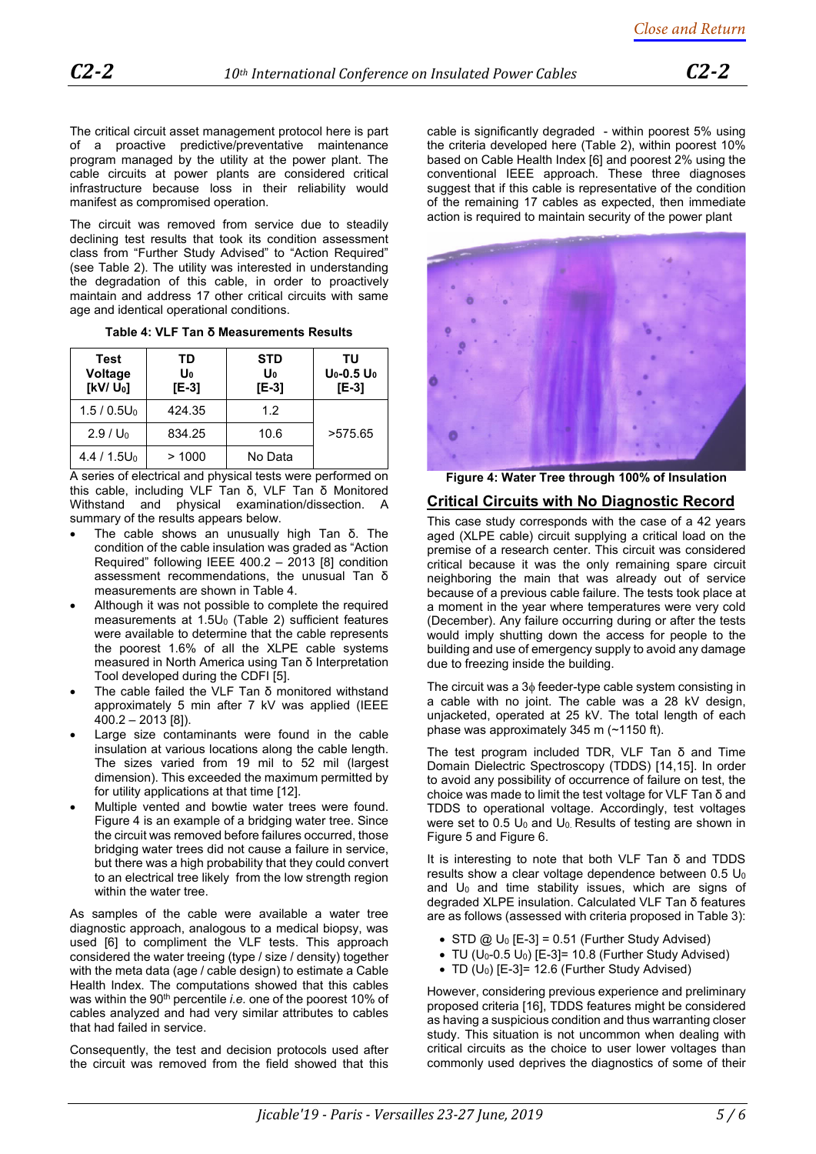The critical circuit asset management protocol here is part of a proactive predictive/preventative maintenance program managed by the utility at the power plant. The cable circuits at power plants are considered critical infrastructure because loss in their reliability would manifest as compromised operation.

The circuit was removed from service due to steadily declining test results that took its condition assessment class from "Further Study Advised" to "Action Required" (see [Table 2\)](#page-1-0). The utility was interested in understanding the degradation of this cable, in order to proactively maintain and address 17 other critical circuits with same age and identical operational conditions.

**Table 4: VLF Tan δ Measurements Results** 

<span id="page-4-0"></span>

| Test<br>Voltage<br>$[KV/U_0]$ | TD<br>Uo<br>[E-3] | <b>STD</b><br>U <sub>0</sub><br>[E-3] | TU<br>$U_0$ -0.5 $U_0$<br>$[E-3]$ |
|-------------------------------|-------------------|---------------------------------------|-----------------------------------|
| $1.5/0.5U_0$                  | 424.35            | 1.2                                   |                                   |
| $2.9 / U_0$                   | 834.25            | 10.6                                  | >575.65                           |
| 4.4 / 1.5U <sub>0</sub>       | >1000             | No Data                               |                                   |

A series of electrical and physical tests were performed on this cable, including VLF Tan δ, VLF Tan δ Monitored Withstand and physical examination/dissection. A summary of the results appears below.

- The cable shows an unusually high Tan  $δ$ . The condition of the cable insulation was graded as "Action Required" following IEEE 400.2 – 2013 [\[8\]](#page-5-4) condition assessment recommendations, the unusual Tan δ measurements are shown i[n Table 4.](#page-4-0)
- Although it was not possible to complete the required measurements at 1.5U<sub>0</sub> (Table 2) sufficient features were available to determine that the cable represents the poorest 1.6% of all the XLPE cable systems measured in North America using Tan δ Interpretation Tool developed during the CDFI [\[5\]](#page-5-7).
- The cable failed the VLF Tan δ monitored withstand approximately 5 min after 7 kV was applied (IEEE 400.2 – 2013 [\[8\]](#page-5-4)).
- Large size contaminants were found in the cable insulation at various locations along the cable length. The sizes varied from 19 mil to 52 mil (largest dimension). This exceeded the maximum permitted by for utility applications at that time [\[12\]](#page-5-11).
- Multiple vented and bowtie water trees were found. [Figure 4](#page-4-1) is an example of a bridging water tree. Since the circuit was removed before failures occurred, those bridging water trees did not cause a failure in service, but there was a high probability that they could convert to an electrical tree likely from the low strength region within the water tree.

As samples of the cable were available a water tree diagnostic approach, analogous to a medical biopsy, was used [6] to compliment the VLF tests. This approach considered the water treeing (type / size / density) together with the meta data (age / cable design) to estimate a Cable Health Index. The computations showed that this cables was within the 90<sup>th</sup> percentile *i.e.* one of the poorest 10% of cables analyzed and had very similar attributes to cables that had failed in service.

Consequently, the test and decision protocols used after the circuit was removed from the field showed that this cable is significantly degraded - within poorest 5% using the criteria developed here (Table 2), within poorest 10% based on Cable Health Index [6] and poorest 2% using the conventional IEEE approach. These three diagnoses suggest that if this cable is representative of the condition of the remaining 17 cables as expected, then immediate action is required to maintain security of the power plant



**Figure 4: Water Tree through 100% of Insulation**

#### <span id="page-4-1"></span>**Critical Circuits with No Diagnostic Record**

This case study corresponds with the case of a 42 years aged (XLPE cable) circuit supplying a critical load on the premise of a research center. This circuit was considered critical because it was the only remaining spare circuit neighboring the main that was already out of service because of a previous cable failure. The tests took place at a moment in the year where temperatures were very cold (December). Any failure occurring during or after the tests would imply shutting down the access for people to the building and use of emergency supply to avoid any damage due to freezing inside the building.

The circuit was a 3φ feeder-type cable system consisting in a cable with no joint. The cable was a 28 kV design, unjacketed, operated at 25 kV. The total length of each phase was approximately 345 m (~1150 ft).

The test program included TDR, VLF Tan δ and Time Domain Dielectric Spectroscopy (TDDS) [\[14](#page-5-12)[,15\]](#page-5-13). In order to avoid any possibility of occurrence of failure on test, the choice was made to limit the test voltage for VLF Tan δ and TDDS to operational voltage. Accordingly, test voltages were set to  $0.5 \, U_0$  and  $U_0$ . Results of testing are shown in [Figure 5](#page-5-14) and [Figure 6.](#page-5-15)

It is interesting to note that both VLF Tan δ and TDDS results show a clear voltage dependence between  $0.5 U_0$ and  $U_0$  and time stability issues, which are signs of degraded XLPE insulation. Calculated VLF Tan δ features are as follows (assessed with criteria proposed in [Table 3\)](#page-2-1):

- STD  $\omega$  U<sub>0</sub> [E-3] = 0.51 (Further Study Advised)
- TU  $(U_0-0.5 U_0)$   $[E-3] = 10.8$  (Further Study Advised)
- TD (U0) [E-3]= 12.6 (Further Study Advised)

However, considering previous experience and preliminary proposed criteria [\[16\]](#page-5-16), TDDS features might be considered as having a suspicious condition and thus warranting closer study. This situation is not uncommon when dealing with critical circuits as the choice to user lower voltages than commonly used deprives the diagnostics of some of their